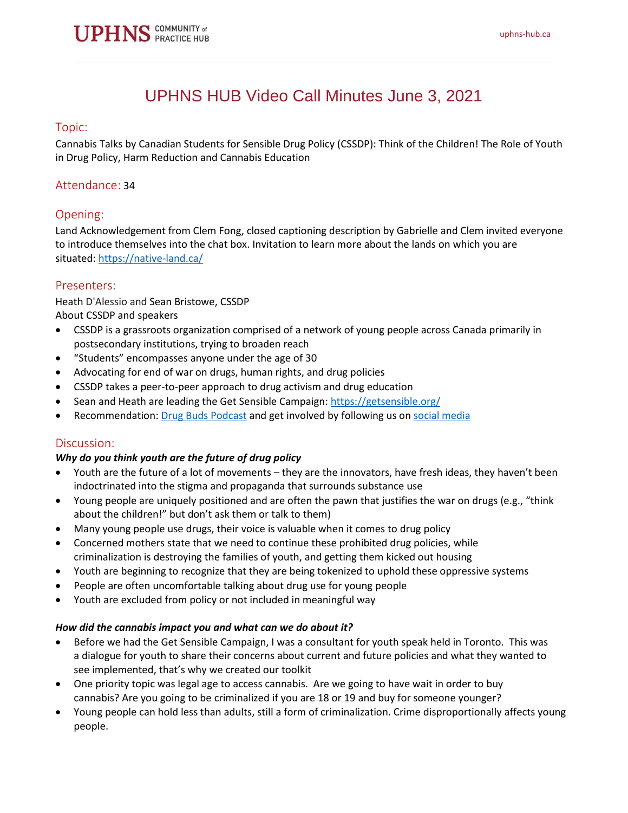

# UPHNS HUB Video Call Minutes June 3, 2021

#### Topic:

Cannabis Talks by Canadian Students for Sensible Drug Policy (CSSDP): Think of the Children! The Role of Youth in Drug Policy, Harm Reduction and Cannabis Education

## Attendance: 34

## Opening:

Land Acknowledgement from Clem Fong, closed captioning description by Gabrielle and Clem invited everyone to introduce themselves into the chat box. Invitation to learn more about the lands on which you are situated: <https://native-land.ca/>

#### Presenters:

Heath D'Alessio and Sean Bristowe, CSSDP About CSSDP and speakers

- CSSDP is a grassroots organization comprised of a network of young people across Canada primarily in postsecondary institutions, trying to broaden reach
- "Students" encompasses anyone under the age of 30
- Advocating for end of war on drugs, human rights, and drug policies
- CSSDP takes a peer-to-peer approach to drug activism and drug education
- Sean and Heath are leading the Get Sensible Campaign: <https://getsensible.org/>
- Recommendation: Drug Buds [Podcast](https://open.spotify.com/show/0lbmlhnCwMGeQRe1EmhMDD?si=8tdh5X-7QTmCjVYIxV2Dog&nd=1) and get involved by following us on [social media](https://cssdp.org/get-involved/)

## Discussion:

#### *Why do you think youth are the future of drug policy*

- Youth are the future of a lot of movements they are the innovators, have fresh ideas, they haven't been indoctrinated into the stigma and propaganda that surrounds substance use
- Young people are uniquely positioned and are often the pawn that justifies the war on drugs (e.g., "think about the children!" but don't ask them or talk to them)
- Many young people use drugs, their voice is valuable when it comes to drug policy
- Concerned mothers state that we need to continue these prohibited drug policies, while criminalization is destroying the families of youth, and getting them kicked out housing
- Youth are beginning to recognize that they are being tokenized to uphold these oppressive systems
- People are often uncomfortable talking about drug use for young people
- Youth are excluded from policy or not included in meaningful way

#### *How did the cannabis impact you and what can we do about it?*

- Before we had the Get Sensible Campaign, I was a consultant for youth speak held in Toronto. This was a dialogue for youth to share their concerns about current and future policies and what they wanted to see implemented, that's why we created our toolkit
- One priority topic was legal age to access cannabis. Are we going to have wait in order to buy cannabis? Are you going to be criminalized if you are 18 or 19 and buy for someone younger?
- Young people can hold less than adults, still a form of criminalization. Crime disproportionally affects young people.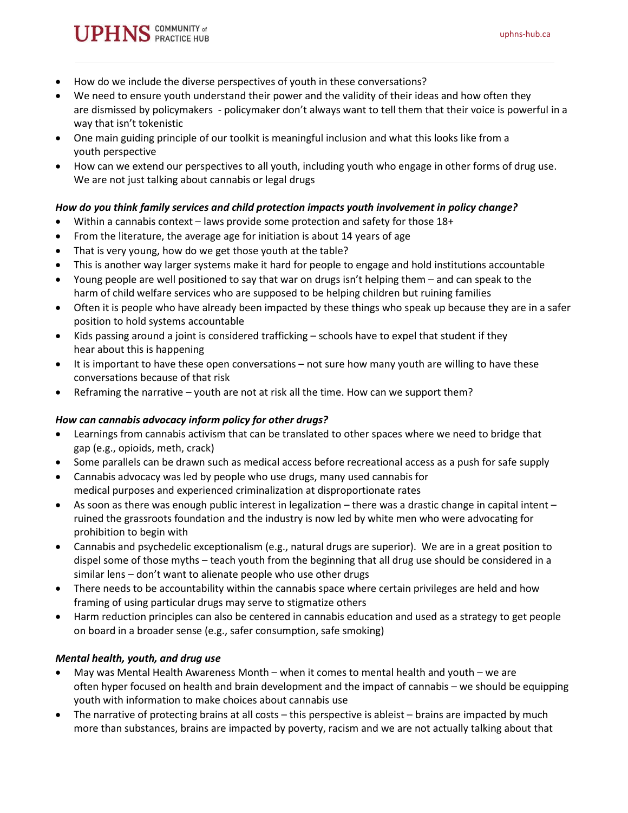# • How do we include the diverse perspectives of youth in these conversations?

**PHNS** COMMUNITY of

- We need to ensure youth understand their power and the validity of their ideas and how often they are dismissed by policymakers - policymaker don't always want to tell them that their voice is powerful in a way that isn't tokenistic
- One main guiding principle of our toolkit is meaningful inclusion and what this looks like from a youth perspective
- How can we extend our perspectives to all youth, including youth who engage in other forms of drug use. We are not just talking about cannabis or legal drugs

## *How do you think family services and child protection impacts youth involvement in policy change?*

- Within a cannabis context laws provide some protection and safety for those 18+
- From the literature, the average age for initiation is about 14 years of age
- That is very young, how do we get those youth at the table?
- This is another way larger systems make it hard for people to engage and hold institutions accountable
- Young people are well positioned to say that war on drugs isn't helping them and can speak to the harm of child welfare services who are supposed to be helping children but ruining families
- Often it is people who have already been impacted by these things who speak up because they are in a safer position to hold systems accountable
- Kids passing around a joint is considered trafficking schools have to expel that student if they hear about this is happening
- It is important to have these open conversations not sure how many youth are willing to have these conversations because of that risk
- Reframing the narrative youth are not at risk all the time. How can we support them?

## *How can cannabis advocacy inform policy for other drugs?*

- Learnings from cannabis activism that can be translated to other spaces where we need to bridge that gap (e.g., opioids, meth, crack)
- Some parallels can be drawn such as medical access before recreational access as a push for safe supply
- Cannabis advocacy was led by people who use drugs, many used cannabis for medical purposes and experienced criminalization at disproportionate rates
- As soon as there was enough public interest in legalization there was a drastic change in capital intent ruined the grassroots foundation and the industry is now led by white men who were advocating for prohibition to begin with
- Cannabis and psychedelic exceptionalism (e.g., natural drugs are superior). We are in a great position to dispel some of those myths – teach youth from the beginning that all drug use should be considered in a similar lens – don't want to alienate people who use other drugs
- There needs to be accountability within the cannabis space where certain privileges are held and how framing of using particular drugs may serve to stigmatize others
- Harm reduction principles can also be centered in cannabis education and used as a strategy to get people on board in a broader sense (e.g., safer consumption, safe smoking)

## *Mental health, youth, and drug use*

- May was Mental Health Awareness Month when it comes to mental health and youth we are often hyper focused on health and brain development and the impact of cannabis – we should be equipping youth with information to make choices about cannabis use
- The narrative of protecting brains at all costs this perspective is ableist brains are impacted by much more than substances, brains are impacted by poverty, racism and we are not actually talking about that